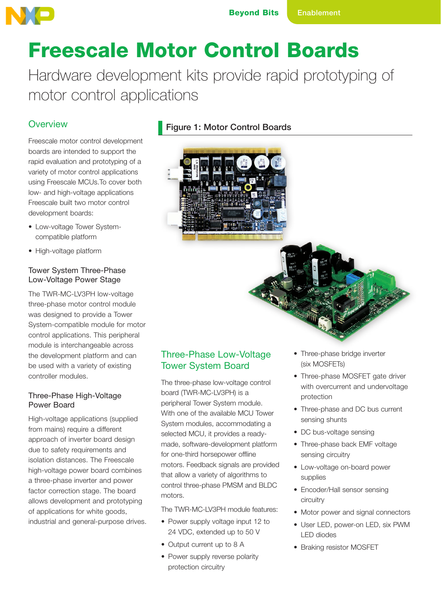

## Freescale Motor Control Boards

Hardware development kits provide rapid prototyping of motor control applications

## **Overview**

Freescale motor control development boards are intended to support the rapid evaluation and prototyping of a variety of motor control applications using Freescale MCUs.To cover both low- and high-voltage applications Freescale built two motor control development boards:

- Low-voltage Tower Systemcompatible platform
- High-voltage platform

## Tower System Three-Phase Low-Voltage Power Stage

The TWR-MC-LV3PH low-voltage three-phase motor control module was designed to provide a Tower System-compatible module for motor control applications. This peripheral module is interchangeable across the development platform and can be used with a variety of existing controller modules.

## Three-Phase High-Voltage Power Board

High-voltage applications (supplied from mains) require a different approach of inverter board design due to safety requirements and isolation distances. The Freescale high-voltage power board combines a three-phase inverter and power factor correction stage. The board allows development and prototyping of applications for white goods, industrial and general-purpose drives.

## Figure 1: Motor Control Boards



## Three-Phase Low-Voltage Tower System Board

The three-phase low-voltage control board (TWR-MC-LV3PH) is a peripheral Tower System module. With one of the available MCU Tower System modules, accommodating a selected MCU, it provides a readymade, software-development platform for one-third horsepower offline motors. Feedback signals are provided that allow a variety of algorithms to control three-phase PMSM and BLDC motors.

The TWR-MC-LV3PH module features:

- Power supply voltage input 12 to 24 VDC, extended up to 50 V
- Output current up to 8 A
- Power supply reverse polarity protection circuitry
- Three-phase bridge inverter (six MOSFETs)
- Three-phase MOSFET gate driver with overcurrent and undervoltage protection
- Three-phase and DC bus current sensing shunts
- DC bus-voltage sensing
- Three-phase back EMF voltage sensing circuitry
- Low-voltage on-board power supplies
- Encoder/Hall sensor sensing circuitry
- Motor power and signal connectors
- User LED, power-on LED, six PWM LED diodes
- Braking resistor MOSFET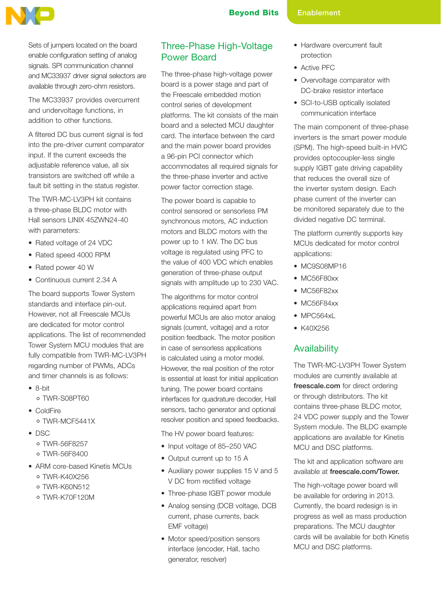Sets of jumpers located on the board enable configuration setting of analog signals. SPI communication channel and MC33937 driver signal selectors are available through zero-ohm resistors.

The MC33937 provides overcurrent and undervoltage functions, in addition to other functions.

A filtered DC bus current signal is fed into the pre-driver current comparator input. If the current exceeds the adjustable reference value, all six transistors are switched off while a fault bit setting in the status register.

The TWR-MC-LV3PH kit contains a three-phase BLDC motor with Hall sensors LINIX 45ZWN24-40 with parameters:

- Rated voltage of 24 VDC
- Rated speed 4000 RPM
- Rated power 40 W
- Continuous current 2.34 A

The board supports Tower System standards and interface pin-out. However, not all Freescale MCUs are dedicated for motor control applications. The list of recommended Tower System MCU modules that are fully compatible from TWR-MC-LV3PH regarding number of PWMs, ADCs and timer channels is as follows:

- 8-bit
	- TWR-S08PT60
- ColdFire TWR-MCF5441X
- DSC
	- TWR-56F8257
	- TWR-56F8400
- ARM core-based Kinetis MCUs
	- TWR-K40X256
	- TWR-K60N512
	- TWR-K70F120M

## Three-Phase High-Voltage Power Board

The three-phase high-voltage power board is a power stage and part of the Freescale embedded motion control series of development platforms. The kit consists of the main board and a selected MCU daughter card. The interface between the card and the main power board provides a 96-pin PCI connector which accommodates all required signals for the three-phase inverter and active power factor correction stage.

The power board is capable to control sensored or sensorless PM synchronous motors, AC induction motors and BLDC motors with the power up to 1 kW. The DC bus voltage is regulated using PFC to the value of 400 VDC which enables generation of three-phase output signals with amplitude up to 230 VAC.

The algorithms for motor control applications required apart from powerful MCUs are also motor analog signals (current, voltage) and a rotor position feedback. The motor position in case of sensorless applications is calculated using a motor model. However, the real position of the rotor is essential at least for initial application tuning. The power board contains interfaces for quadrature decoder, Hall sensors, tacho generator and optional resolver position and speed feedbacks.

The HV power board features:

- Input voltage of 85–250 VAC
- Output current up to 15 A
- Auxiliary power supplies 15 V and 5 V DC from rectified voltage
- Three-phase IGBT power module
- Analog sensing (DCB voltage, DCB current, phase currents, back EMF voltage)
- Motor speed/position sensors interface (encoder, Hall, tacho generator, resolver)
- Hardware overcurrent fault protection
- Active PFC
- Overvoltage comparator with DC-brake resistor interface
- SCI-to-USB optically isolated communication interface

The main component of three-phase inverters is the smart power module (SPM). The high-speed built-in HVIC provides optocoupler-less single supply IGBT gate driving capability that reduces the overall size of the inverter system design. Each phase current of the inverter can be monitored separately due to the divided negative DC terminal.

The platform currently supports key MCUs dedicated for motor control applications:

- MC9S08MP16
- MC56F80xx
- MC56F82xx
- MC56F84xx
- MPC564xL
- K40X256

## Availability

The TWR-MC-LV3PH Tower System modules are currently available at [freescale.com](http://www.freescale.com) for direct ordering or through distributors. The kit contains three-phase BLDC motor, 24 VDC power supply and the Tower System module. The BLDC example applications are available for Kinetis MCU and DSC platforms.

The kit and application software are available at [freescale.com/Tower](http://www.freescale.com/webapp/sps/site/homepage.jsp?code=TOWER_HOME&tid=vantower).

The high-voltage power board will be available for ordering in 2013. Currently, the board redesign is in progress as well as mass production preparations. The MCU daughter cards will be available for both Kinetis MCU and DSC platforms.